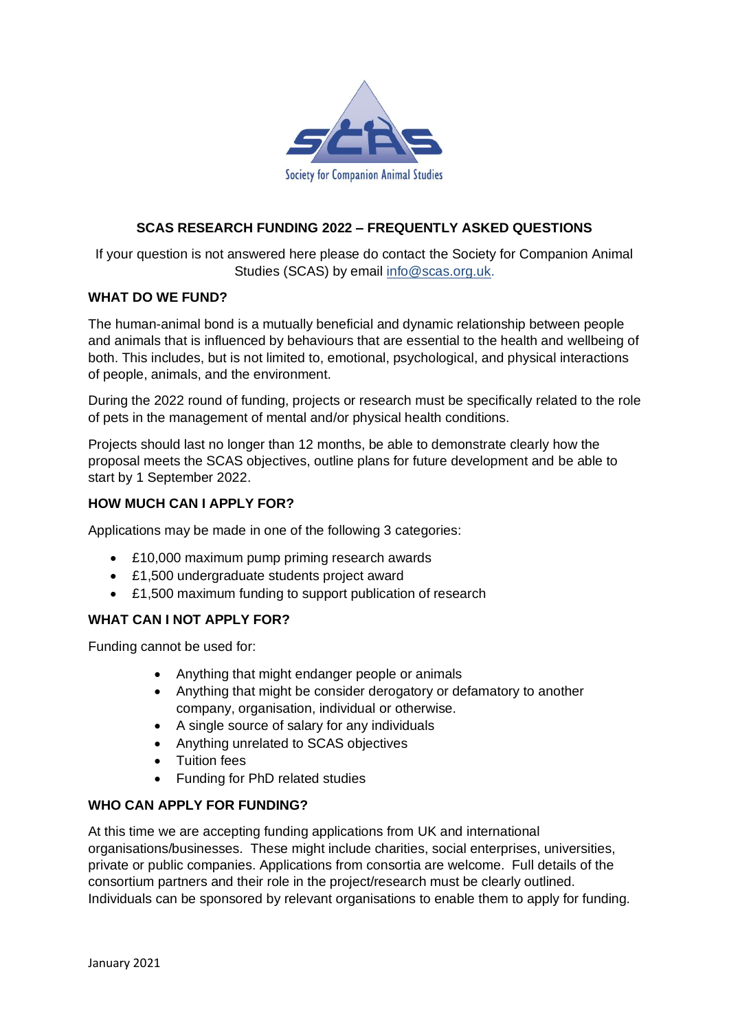

# **SCAS RESEARCH FUNDING 2022 – FREQUENTLY ASKED QUESTIONS**

If your question is not answered here please do contact the Society for Companion Animal Studies (SCAS) by email [info@scas.org.uk.](mailto:info@scas.org.uk)

#### **WHAT DO WE FUND?**

The human-animal bond is a mutually beneficial and dynamic relationship between people and animals that is influenced by behaviours that are essential to the health and wellbeing of both. This includes, but is not limited to, emotional, psychological, and physical interactions of people, animals, and the environment.

During the 2022 round of funding, projects or research must be specifically related to the role of pets in the management of mental and/or physical health conditions.

Projects should last no longer than 12 months, be able to demonstrate clearly how the proposal meets the SCAS objectives, outline plans for future development and be able to start by 1 September 2022.

### **HOW MUCH CAN I APPLY FOR?**

Applications may be made in one of the following 3 categories:

- £10,000 maximum pump priming research awards
- £1,500 undergraduate students project award
- £1,500 maximum funding to support publication of research

### **WHAT CAN I NOT APPLY FOR?**

Funding cannot be used for:

- Anything that might endanger people or animals
- Anything that might be consider derogatory or defamatory to another company, organisation, individual or otherwise.
- A single source of salary for any individuals
- Anything unrelated to SCAS objectives
- Tuition fees
- Funding for PhD related studies

### **WHO CAN APPLY FOR FUNDING?**

At this time we are accepting funding applications from UK and international organisations/businesses. These might include charities, social enterprises, universities, private or public companies. Applications from consortia are welcome. Full details of the consortium partners and their role in the project/research must be clearly outlined. Individuals can be sponsored by relevant organisations to enable them to apply for funding.